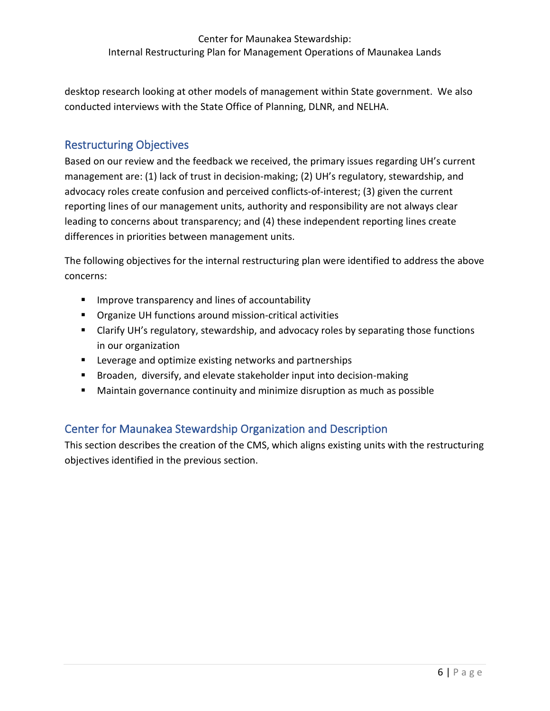desktop research looking at other models of management within State government. We also conducted interviews with the State Office of Planning, DLNR, and NELHA.

## Restructuring Objectives

estructuring Onjectives<br>assed on our review and the feedback we received, the primary issues regarding UH's current<br>nanagement are: (1) lack of trust in decision-making; (2) UH's regulatory, stewardship, and<br>dvocacy roles Based on our review and the feedback we received, the primary issues regarding UH's current management are: (1) lack of trust in decision-making; (2) UH's regulatory, stewardship, and advocacy roles create confusion and perceived conflicts-of-interest; (3) given the current reporting lines of our management units, authority and responsibility are not always clear leading to concerns about transparency; and (4) these independent reporting lines create differences in priorities between management units.

The following objectives for the internal restructuring plan were identified to address the above concerns:

- **IMPROVE THEODARY CONCEY AND IMAGE IN A** Improve transparency and lines of accountability
- **•** Organize UH functions around mission-critical activities
- **E** Clarify UH's regulatory, stewardship, and advocacy roles by separating those functions in our organization
- **EXECTE:** Leverage and optimize existing networks and partnerships
- Broaden, diversify, and elevate stakeholder input into decision-making
- Maintain governance continuity and minimize disruption as much as possible

# Center for Maunakea Stewardship Organization and Description

This section describes the creation of the CMS, which aligns existing units with the restructuring objectives identified in the previous section.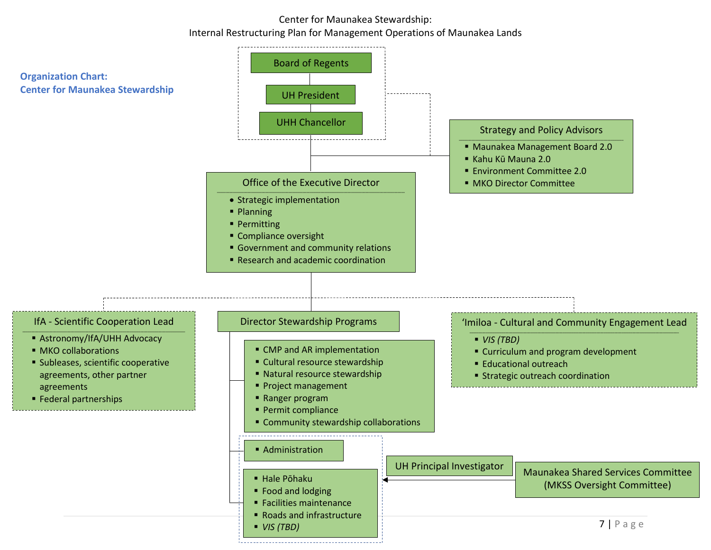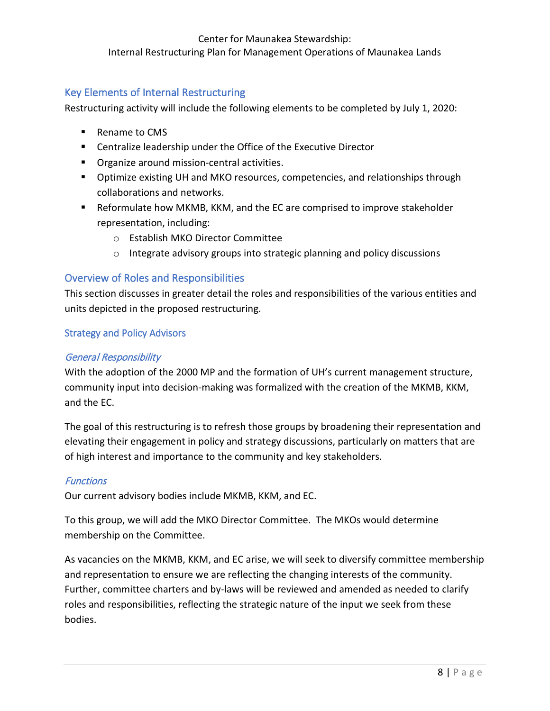## Key Elements of Internal Restructuring

Restructuring activity will include the following elements to be completed by July 1, 2020:

- Rename to CMS
- Centralize leadership under the Office of the Executive Director
- **•** Organize around mission-central activities.
- **D** Optimize existing UH and MKO resources, competencies, and relationships through collaborations and networks.
- Reformulate how MKMB, KKM, and the EC are comprised to improve stakeholder representation, including:
	- o Establish MKO Director Committee
	- o Integrate advisory groups into strategic planning and policy discussions

## Overview of Roles and Responsibilities

This section discusses in greater detail the roles and responsibilities of the various entities and units depicted in the proposed restructuring.

#### Strategy and Policy Advisors

#### General Responsibility

• Centralize leadership under the Office of the Executive Director<br>• Organize around mission-eentral activities.<br>• Optimize existing UH and MKO resources, competencies, and relationships through<br>• Optimize existing UH an With the adoption of the 2000 MP and the formation of UH's current management structure, community input into decision-making was formalized with the creation of the MKMB, KKM, and the EC.

The goal of this restructuring is to refresh those groups by broadening their representation and elevating their engagement in policy and strategy discussions, particularly on matters that are of high interest and importance to the community and key stakeholders.

## Functions

Our current advisory bodies include MKMB, KKM, and EC.

To this group, we will add the MKO Director Committee. The MKOs would determine membership on the Committee.

As vacancies on the MKMB, KKM, and EC arise, we will seek to diversify committee membership and representation to ensure we are reflecting the changing interests of the community. Further, committee charters and by-laws will be reviewed and amended as needed to clarify roles and responsibilities, reflecting the strategic nature of the input we seek from these bodies.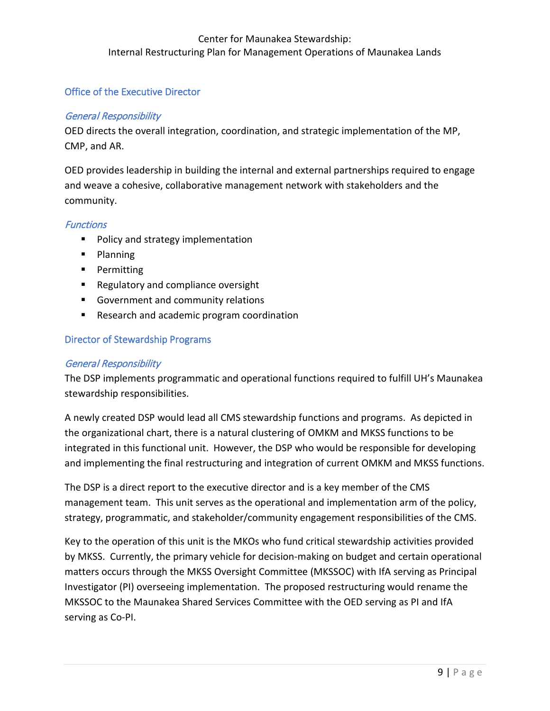### Office of the Executive Director

#### General Responsibility

OED directs the overall integration, coordination, and strategic implementation of the MP, CMP, and AR.

OED provides leadership in building the internal and external partnerships required to engage and weave a cohesive, collaborative management network with stakeholders and the community.

#### **Functions**

- **Policy and strategy implementation**
- **Planning**
- **Permitting**
- Regulatory and compliance oversight
- Government and community relations
- Research and academic program coordination

## Director of Stewardship Programs

#### General Responsibility

The DSP implements programmatic and operational functions required to fulfill UH's Maunakea stewardship responsibilities.

CMP, and AR.<br>
CMP, and AR.<br>
DED provides leadership in building the internal and external partnerships required to engage<br>
memorianty.<br>
Functions<br>
Functions<br>
Policy and strategy implementation<br>
Planning<br>
Policy and strateg A newly created DSP would lead all CMS stewardship functions and programs. As depicted in the organizational chart, there is a natural clustering of OMKM and MKSS functions to be integrated in this functional unit. However, the DSP who would be responsible for developing and implementing the final restructuring and integration of current OMKM and MKSS functions.

The DSP is a direct report to the executive director and is a key member of the CMS management team. This unit serves as the operational and implementation arm of the policy, strategy, programmatic, and stakeholder/community engagement responsibilities of the CMS.

Key to the operation of this unit is the MKOs who fund critical stewardship activities provided by MKSS. Currently, the primary vehicle for decision-making on budget and certain operational matters occurs through the MKSS Oversight Committee (MKSSOC) with IfA serving as Principal Investigator (PI) overseeing implementation. The proposed restructuring would rename the MKSSOC to the Maunakea Shared Services Committee with the OED serving as PI and IfA serving as Co-PI.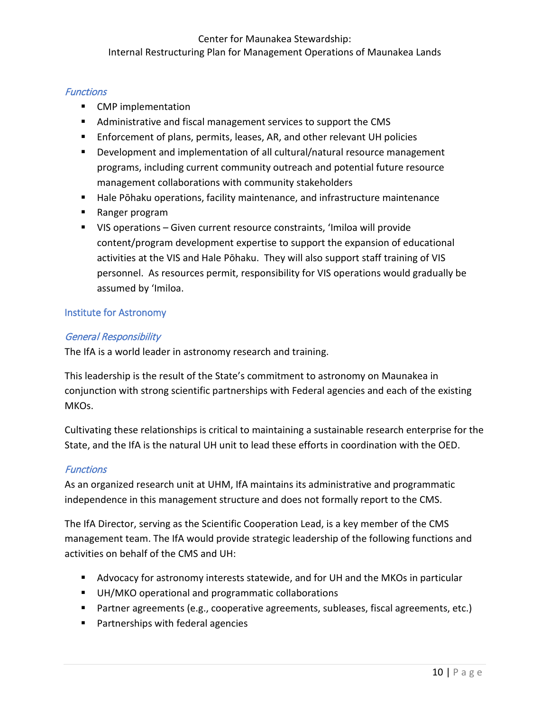## **Functions**

- **EXECUTE:** CMP implementation
- Administrative and fiscal management services to support the CMS
- Enforcement of plans, permits, leases, AR, and other relevant UH policies
- **Development and implementation of all cultural/natural resource management** programs, including current community outreach and potential future resource management collaborations with community stakeholders
- Hale Pōhaku operations, facility maintenance, and infrastructure maintenance
- Ranger program
- For Development and implementation of all cultural/natural resource management<br>programs, including current community sutreach and potential future resource<br>management collaborations with community stakeholders<br>Hale Põhaku VIS operations – Given current resource constraints, 'Imiloa will provide content/program development expertise to support the expansion of educational activities at the VIS and Hale Pōhaku. They will also support staff training of VIS personnel. As resources permit, responsibility for VIS operations would gradually be assumed by ʻImiloa.

## Institute for Astronomy

## General Responsibility

The IfA is a world leader in astronomy research and training.

This leadership is the result of the State's commitment to astronomy on Maunakea in conjunction with strong scientific partnerships with Federal agencies and each of the existing MKOs.

Cultivating these relationships is critical to maintaining a sustainable research enterprise for the State, and the IfA is the natural UH unit to lead these efforts in coordination with the OED.

## **Functions**

As an organized research unit at UHM, IfA maintains its administrative and programmatic independence in this management structure and does not formally report to the CMS.

The IfA Director, serving as the Scientific Cooperation Lead, is a key member of the CMS management team. The IfA would provide strategic leadership of the following functions and activities on behalf of the CMS and UH:

- Advocacy for astronomy interests statewide, and for UH and the MKOs in particular
- UH/MKO operational and programmatic collaborations
- Partner agreements (e.g., cooperative agreements, subleases, fiscal agreements, etc.)
- **Partnerships with federal agencies**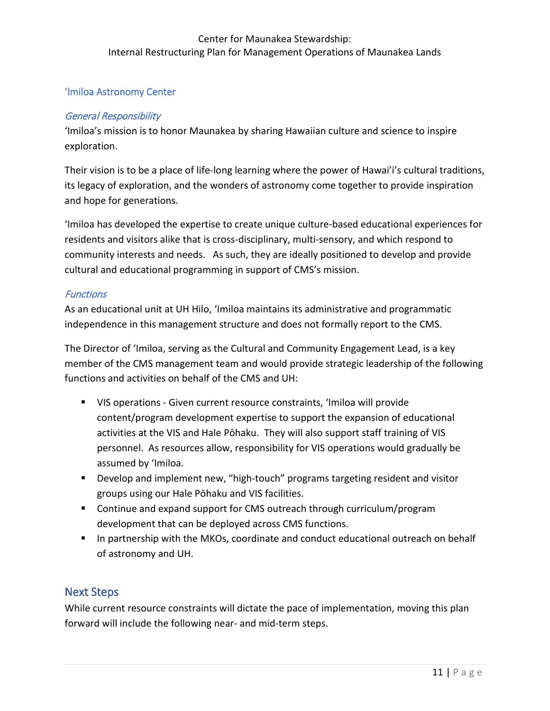## 'Imiloa Astronomy Center

## General Responsibility

'Imiloa's mission is to honor Maunakea by sharing Hawaiian culture and science to inspire exploration.

Their vision is to be a place of life-long learning where the power of Hawai'i's cultural traditions, its legacy of exploration, and the wonders of astronomy come together to provide inspiration and hope for generations.

'Imiloa has developed the expertise to create unique culture-based educational experiences for residents and visitors alike that is cross-disciplinary, multi-sensory, and which respond to community interests and needs. As such, they are ideally positioned to develop and provide cultural and educational programming in support of CMS's mission.

## **Functions**

As an educational unit at UH Hilo, 'Imiloa maintains its administrative and programmatic independence in this management structure and does not formally report to the CMS.

The Director of 'Imiloa, serving as the Cultural and Community Engagement Lead, is a key member of the CMS management team and would provide strategic leadership of the following functions and activities on behalf of the CMS and UH:

- exploration.<br>
Shellr vision is to be a place of life-long learning where the power of Hawai<sup>7</sup>/s cultural traditions<br>
tis legacy of exploration, and the wonders of astronomy come together to provide inspiration<br>
und hope f VIS operations - Given current resource constraints, 'Imiloa will provide content/program development expertise to support the expansion of educational activities at the VIS and Hale Pōhaku. They will also support staff training of VIS personnel. As resources allow, responsibility for VIS operations would gradually be assumed by 'Imiloa.
	- **Develop and implement new, "high-touch" programs targeting resident and visitor** groups using our Hale Pōhaku and VIS facilities.
	- Continue and expand support for CMS outreach through curriculum/program development that can be deployed across CMS functions.
	- **IF In partnership with the MKOs, coordinate and conduct educational outreach on behalf** of astronomy and UH.

# Next Steps

While current resource constraints will dictate the pace of implementation, moving this plan forward will include the following near- and mid-term steps.